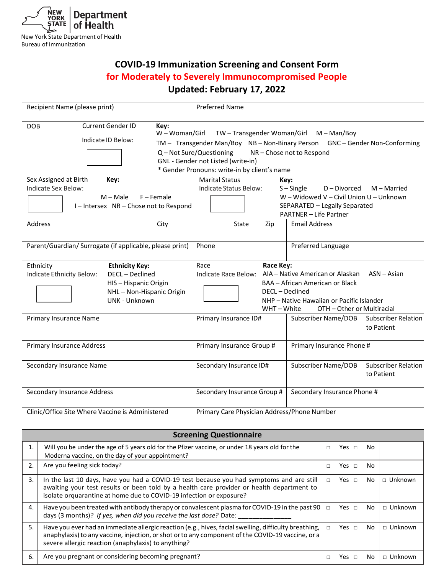

Bureau of Immunization

# **COVID-19 Immunization Screening and Consent Form for Moderately to Severely Immunocompromised People Updated: February 17, 2022**

|                                                                                                      | Recipient Name (please print)                                                                                                                                                               | <b>Preferred Name</b>                                                                  |                                 |                           |            |                             |  |  |
|------------------------------------------------------------------------------------------------------|---------------------------------------------------------------------------------------------------------------------------------------------------------------------------------------------|----------------------------------------------------------------------------------------|---------------------------------|---------------------------|------------|-----------------------------|--|--|
| DOB                                                                                                  | Current Gender ID<br>Key:<br>W - Woman/Girl<br>TW-Transgender Woman/Girl M-Man/Boy                                                                                                          |                                                                                        |                                 |                           |            |                             |  |  |
|                                                                                                      | Indicate ID Below:                                                                                                                                                                          | TM - Transgender Man/Boy NB - Non-Binary Person                                        |                                 |                           |            | GNC - Gender Non-Conforming |  |  |
|                                                                                                      |                                                                                                                                                                                             | Q - Not Sure/Questioning<br>NR-Chose not to Respond                                    |                                 |                           |            |                             |  |  |
|                                                                                                      |                                                                                                                                                                                             | GNL - Gender not Listed (write-in)                                                     |                                 |                           |            |                             |  |  |
|                                                                                                      |                                                                                                                                                                                             | * Gender Pronouns: write-in by client's name                                           |                                 |                           |            |                             |  |  |
|                                                                                                      | Sex Assigned at Birth<br>Key:                                                                                                                                                               | <b>Marital Status</b><br>Key:                                                          |                                 |                           |            |                             |  |  |
|                                                                                                      | Indicate Sex Below:                                                                                                                                                                         | Indicate Status Below:<br>$S -$ Single<br>D - Divorced<br>M - Married                  |                                 |                           |            |                             |  |  |
|                                                                                                      | $M - Male$<br>$F -$ Female                                                                                                                                                                  | W - Widowed V - Civil Union U - Unknown                                                |                                 |                           |            |                             |  |  |
|                                                                                                      | I-Intersex NR-Chose not to Respond                                                                                                                                                          | SEPARATED - Legally Separated<br><b>PARTNER - Life Partner</b>                         |                                 |                           |            |                             |  |  |
|                                                                                                      | Address<br>City                                                                                                                                                                             | <b>Email Address</b><br>State<br>Zip                                                   |                                 |                           |            |                             |  |  |
|                                                                                                      |                                                                                                                                                                                             |                                                                                        |                                 |                           |            |                             |  |  |
|                                                                                                      | Parent/Guardian/ Surrogate (if applicable, please print)                                                                                                                                    | Phone                                                                                  |                                 | Preferred Language        |            |                             |  |  |
|                                                                                                      | Ethnicity<br><b>Ethnicity Key:</b>                                                                                                                                                          | Race<br>Race Key:                                                                      |                                 |                           |            |                             |  |  |
|                                                                                                      | Indicate Ethnicity Below:<br>DECL-Declined                                                                                                                                                  | AIA - Native American or Alaskan<br>$ASN - Asian$<br>Indicate Race Below:              |                                 |                           |            |                             |  |  |
|                                                                                                      | HIS-Hispanic Origin                                                                                                                                                                         |                                                                                        | BAA - African American or Black |                           |            |                             |  |  |
|                                                                                                      | NHL-Non-Hispanic Origin                                                                                                                                                                     | DECL - Declined                                                                        |                                 |                           |            |                             |  |  |
|                                                                                                      | <b>UNK - Unknown</b>                                                                                                                                                                        | NHP - Native Hawaiian or Pacific Islander<br>OTH - Other or Multiracial<br>WHT – White |                                 |                           |            |                             |  |  |
|                                                                                                      | Primary Insurance Name                                                                                                                                                                      | Primary Insurance ID#<br>Subscriber Name/DOB                                           |                                 |                           |            | Subscriber Relation         |  |  |
|                                                                                                      |                                                                                                                                                                                             |                                                                                        |                                 |                           | to Patient |                             |  |  |
|                                                                                                      | <b>Primary Insurance Address</b>                                                                                                                                                            | Primary Insurance Group #                                                              |                                 | Primary Insurance Phone # |            |                             |  |  |
|                                                                                                      |                                                                                                                                                                                             |                                                                                        |                                 |                           |            |                             |  |  |
|                                                                                                      | Secondary Insurance Name                                                                                                                                                                    | Subscriber Name/DOB<br>Secondary Insurance ID#                                         |                                 |                           |            | <b>Subscriber Relation</b>  |  |  |
|                                                                                                      |                                                                                                                                                                                             |                                                                                        |                                 |                           |            | to Patient                  |  |  |
|                                                                                                      |                                                                                                                                                                                             |                                                                                        |                                 |                           |            |                             |  |  |
|                                                                                                      | Secondary Insurance Address                                                                                                                                                                 | Secondary Insurance Group #<br>Secondary Insurance Phone #                             |                                 |                           |            |                             |  |  |
|                                                                                                      | Clinic/Office Site Where Vaccine is Administered                                                                                                                                            | Primary Care Physician Address/Phone Number                                            |                                 |                           |            |                             |  |  |
|                                                                                                      |                                                                                                                                                                                             |                                                                                        |                                 |                           |            |                             |  |  |
| <b>Screening Questionnaire</b>                                                                       |                                                                                                                                                                                             |                                                                                        |                                 |                           |            |                             |  |  |
| 1.                                                                                                   | Will you be under the age of 5 years old for the Pfizer vaccine, or under 18 years old for the                                                                                              |                                                                                        |                                 | Yes<br>$\Box$             | No<br>o    |                             |  |  |
| 2.                                                                                                   | Moderna vaccine, on the day of your appointment?<br>Are you feeling sick today?                                                                                                             |                                                                                        |                                 | Yes<br>$\Box$             | No<br>b    |                             |  |  |
|                                                                                                      |                                                                                                                                                                                             |                                                                                        |                                 |                           |            |                             |  |  |
|                                                                                                      | In the last 10 days, have you had a COVID-19 test because you had symptoms and are still<br>3.<br>awaiting your test results or been told by a health care provider or health department to |                                                                                        |                                 | $\Box$<br>Yes             | No<br>b    | □ Unknown                   |  |  |
|                                                                                                      | isolate orquarantine at home due to COVID-19 infection or exposure?                                                                                                                         |                                                                                        |                                 |                           |            |                             |  |  |
| Have you been treated with antibody therapy or convalescent plasma for COVID-19 in the past 90<br>4. |                                                                                                                                                                                             |                                                                                        |                                 | $\Box$<br>Yes             | No<br>b    | □ Unknown                   |  |  |
|                                                                                                      | days (3 months)? If yes, when did you receive the last dose? Date:                                                                                                                          |                                                                                        |                                 |                           |            |                             |  |  |
| 5.                                                                                                   | Have you ever had an immediate allergic reaction (e.g., hives, facial swelling, difficulty breathing,                                                                                       |                                                                                        | Yes<br>$\Box$                   | No<br>lo                  | □ Unknown  |                             |  |  |
|                                                                                                      | anaphylaxis) to any vaccine, injection, or shot or to any component of the COVID-19 vaccine, or a<br>severe allergic reaction (anaphylaxis) to anything?                                    |                                                                                        |                                 |                           |            |                             |  |  |
| 6.                                                                                                   | Are you pregnant or considering becoming pregnant?                                                                                                                                          | $\Box$<br>Yes                                                                          | No<br>b                         | □ Unknown                 |            |                             |  |  |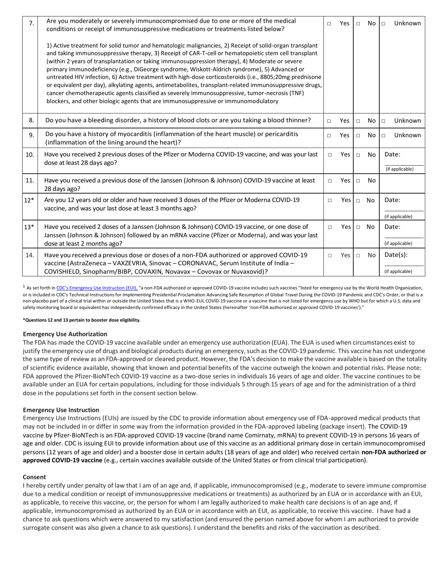| 7 <sub>1</sub> | Are you moderately or severely immunocompromised due to one or more of the medical<br>conditions or receipt of immunosuppressive medications or treatments listed below?                                                                                                                                                                                                                                                                                                                                                                                                                                                                                                                                                                                                                                                      |        |     |                       | No        | Unknown<br>$\Box$ |
|----------------|-------------------------------------------------------------------------------------------------------------------------------------------------------------------------------------------------------------------------------------------------------------------------------------------------------------------------------------------------------------------------------------------------------------------------------------------------------------------------------------------------------------------------------------------------------------------------------------------------------------------------------------------------------------------------------------------------------------------------------------------------------------------------------------------------------------------------------|--------|-----|-----------------------|-----------|-------------------|
|                | 1) Active treatment for solid tumor and hematologic malignancies, 2) Receipt of solid-organ transplant<br>and taking immunosuppressive therapy, 3) Receipt of CAR-T-cell or hematopoietic stem cell transplant<br>(within 2 years of transplantation or taking immunosuppression therapy), 4) Moderate or severe<br>primary immunodeficiency (e.g., DiGeorge syndrome, Wiskott-Aldrich syndrome), 5) Advanced or<br>untreated HIV infection, 6) Active treatment with high-dose corticosteroids (i.e., 8805;20mg prednisone<br>or equivalent per day), alkylating agents, antimetabolites, transplant-related immunosuppressive drugs,<br>cancer chemotherapeutic agents classified as severely immunosuppressive, tumor-necrosis (TNF)<br>blockers, and other biologic agents that are immunosuppressive or immunomodulatory |        |     |                       |           |                   |
| 8.             | Do you have a bleeding disorder, a history of blood clots or are you taking a blood thinner?                                                                                                                                                                                                                                                                                                                                                                                                                                                                                                                                                                                                                                                                                                                                  | $\Box$ | Yes | $\Box$                | No        | Unknown<br>$\Box$ |
| 9.             | Do you have a history of myocarditis (inflammation of the heart muscle) or pericarditis<br>(inflammation of the lining around the heart)?                                                                                                                                                                                                                                                                                                                                                                                                                                                                                                                                                                                                                                                                                     | $\Box$ | Yes | $\Box$                | No        | Unknown<br>$\Box$ |
| 10.            | Have you received 2 previous doses of the Pfizer or Moderna COVID-19 vaccine, and was your last<br>dose at least 28 days ago?                                                                                                                                                                                                                                                                                                                                                                                                                                                                                                                                                                                                                                                                                                 | П      | Yes | Date:<br>$\Box$<br>No |           |                   |
|                |                                                                                                                                                                                                                                                                                                                                                                                                                                                                                                                                                                                                                                                                                                                                                                                                                               |        |     |                       |           | (if applicable)   |
| 11.            | Have you received a previous dose of the Janssen (Johnson & Johnson) COVID-19 vaccine at least<br>28 days ago?                                                                                                                                                                                                                                                                                                                                                                                                                                                                                                                                                                                                                                                                                                                | $\Box$ | Yes | $\Box$                | <b>No</b> |                   |
| $12*$          | Are you 12 years old or older and have received 3 doses of the Pfizer or Moderna COVID-19<br>vaccine, and was your last dose at least 3 months ago?                                                                                                                                                                                                                                                                                                                                                                                                                                                                                                                                                                                                                                                                           | П      | Yes | $\Box$                | No        | Date:             |
|                |                                                                                                                                                                                                                                                                                                                                                                                                                                                                                                                                                                                                                                                                                                                                                                                                                               |        |     |                       |           | (if applicable)   |
| $13*$          | Have you received 2 doses of a Janssen (Johnson & Johnson) COVID-19 vaccine, or one dose of<br>Janssen (Johnson & Johnson) followed by an mRNA vaccine (Pfizer or Moderna), and was your last                                                                                                                                                                                                                                                                                                                                                                                                                                                                                                                                                                                                                                 | П      | Yes | $\Box$                | No.       | Date:             |
|                | dose at least 2 months ago?                                                                                                                                                                                                                                                                                                                                                                                                                                                                                                                                                                                                                                                                                                                                                                                                   |        |     |                       |           | (if applicable)   |
| 14.            | Have you received a previous dose or doses of a non-FDA authorized or approved COVID-19<br>vaccine (AstraZeneca - VAXZEVRIA, Sinovac - CORONAVAC, Serum Institute of India -                                                                                                                                                                                                                                                                                                                                                                                                                                                                                                                                                                                                                                                  | $\Box$ | Yes | $\Box$                | No        | Date(s):          |
|                | COVISHIELD, Sinopharm/BIBP, COVAXIN, Novavax - Covovax or Nuvaxovid)?                                                                                                                                                                                                                                                                                                                                                                                                                                                                                                                                                                                                                                                                                                                                                         |        |     |                       |           | (if applicable)   |
|                |                                                                                                                                                                                                                                                                                                                                                                                                                                                                                                                                                                                                                                                                                                                                                                                                                               |        |     |                       |           |                   |

<sup>1</sup> As set forth in [CDC's Emergency Use Instruction \(EUI\),](https://www.cdc.gov/vaccines/covid-19/eui/downloads/EUI-HCP.pdf) "a non-FDA authorized or approved COVID-19 vaccine includes such vaccines "listed for emergency use by the World Health Organization, or is included in CDC's Technical Instructions for Implementing Presidential Proclamation Advancing Safe Resumption of Global Travel During the COVID-19 Pandemic and CDC's Order, or that is a non-placebo part of a clinical trial within or outside the United States that is a WHO-EUL COVID-19 vaccine or a vaccine that is not listed for emergency use by WHO but for which a U.S. data and safety monitoring board or equivalent has independently confirmed efficacy in the United States (hereinafter 'non-FDA authorized or approved COVID-19 vaccines')."

### **\*Questions 12 and 13 pertain to booster dose eligibility.**

## **Emergency Use Authorization**

The FDA has made the COVID-19 vaccine available under an emergency use authorization (EUA). The EUA is used when circumstances exist to justify the emergency use of drugs and biological products during an emergency, such as the COVID-19 pandemic. This vaccine has not undergone the same type of review as an FDA-approved or cleared product. However, the FDA's decision to make the vaccine available is based on the totality of scientific evidence available, showing that known and potential benefits of the vaccine outweigh the known and potential risks. Please note: FDA approved the Pfizer-BioNTech COVID-19 vaccine as a two-dose series in individuals 16 years of age and older. The vaccine continues to be available under an EUA for certain populations, including for those individuals 5 through 15 years of age and for the administration of a third dose in the populations set forth in the consent section below.

## **Emergency Use Instruction**

Emergency Use Instructions (EUIs) are issued by the CDC to provide information about emergency use of FDA-approved medical products that may not be included in or differ in some way from the information provided in the FDA-approved labeling (package insert). The COVID-19 vaccine by Pfizer-BioNTech is an FDA-approved COVID-19 vaccine (brand name Comirnaty, mRNA) to prevent COVID-19 in persons 16 years of age and older. CDC is issuing EUI to provide information about use of this vaccine as an additional primary dose in certain immunocompromised persons (12 years of age and older) and a booster dose in certain adults (18 years of age and older) who received certain **non-FDA authorized or approved COVID-19 vaccine** (e.g., certain vaccines available outside of the United States or from clinical trial participation).

## **Consent**

I hereby certify under penalty of law that I am of an age and, if applicable, immunocompromised (e.g., moderate to severe immune compromise due to a medical condition or receipt of immunosuppressive medications or treatments) as authorized by an EUA or in accordance with an EUI, as applicable, to receive this vaccine, or, the person for whom I am legally authorized to make health care decisions is of an age and, if applicable, immunocompromised as authorized by an EUA or in accordance with an EUI, as applicable, to receive this vaccine. I have had a chance to ask questions which were answered to my satisfaction (and ensured the person named above for whom I am authorized to provide surrogate consent was also given a chance to ask questions). I understand the benefits and risks of the vaccination as described.